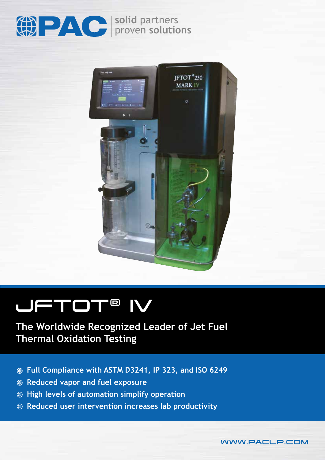

**solid** partners proven **solutions**



# JFTOT® IV

## **The Worldwide Recognized Leader of Jet Fuel Thermal Oxidation Testing**

- **Full Compliance with ASTM D3241, IP 323, and ISO 6249**
- **Reduced vapor and fuel exposure**
- **High levels of automation simplify operation**
- **Reduced user intervention increases lab productivity**

WWW.PACLP.COM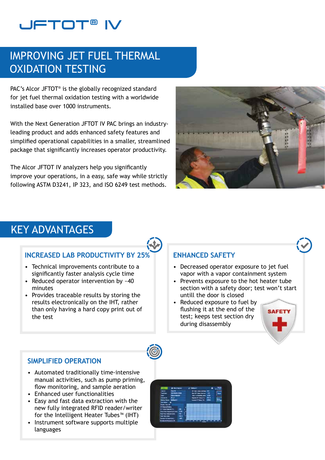## **UFTOT®**

## IMPROVING JET FUEL THERMAL OXIDATION TESTING

PAC's Alcor JFTOT<sup>®</sup> is the globally recognized standard for jet fuel thermal oxidation testing with a worldwide installed base over 1000 instruments.

With the Next Generation JFTOT IV PAC brings an industryleading product and adds enhanced safety features and simplified operational capabilities in a smaller, streamlined package that significantly increases operator productivity.

The Alcor JFTOT IV analyzers help you significantly improve your operations, in a easy, safe way while strictly following ASTM D3241, IP 323, and ISO 6249 test methods.



## KEY ADVANTAGES

## **INCREASED LAB PRODUCTIVITY BY 25%**

- Technical improvements contribute to a significantly faster analysis cycle time
- Reduced operator intervention by ~40 minutes
- Provides traceable results by storing the results electronically on the IHT, rather than only having a hard copy print out of the test

## **ENHANCED SAFETY**

- Decreased operator exposure to jet fuel vapor with a vapor containment system
- Prevents exposure to the hot heater tube section with a safety door; test won't start untill the door is closed
- Reduced exposure to fuel by flushing it at the end of the test; keeps test section dry during disassembly





## **SIMPLIFIED OPERATION**

- Automated traditionally time-intensive manual activities, such as pump priming, flow monitoring, and sample aeration
- Enhanced user functionalities
- Easy and fast data extraction with the new fully integrated RFID reader/writer for the Intelligent Heater Tubes™ (IHT)
- Instrument software supports multiple languages

| . .                                               | A movement                          |         |   | -- |                                                        |  |
|---------------------------------------------------|-------------------------------------|---------|---|----|--------------------------------------------------------|--|
| <b>CALL AND</b><br><b>Tack Braue</b>              | <b>Section</b><br><b>JAHAAD ROB</b> |         |   |    | in two case change (SE)<br><b>No.19 time serie: 12</b> |  |
| -                                                 | <b>University Pro</b>               |         |   |    | <b>Inc. 1. Installation and 1999</b>                   |  |
| <b>bench El</b>                                   | 83                                  |         |   |    | <b>Painter Printed Co., 2012</b>                       |  |
| <b>Holmic Harner Billeball &amp;</b>              |                                     |         |   |    | toweld face [10] 2295                                  |  |
| <b>SALES &amp; B</b>                              |                                     |         |   |    |                                                        |  |
| <b><i><u>Sand Text Inc.</u></i></b>               |                                     |         |   |    |                                                        |  |
| Hill Deposed France<br><b>AT 1999 FIGHTH (TL)</b> |                                     |         |   |    |                                                        |  |
| <b>Flow Russ Teaconi (climate)</b>                |                                     | 膴<br>33 | ٠ |    |                                                        |  |
| <b>Foot Town Technical Least</b>                  |                                     | m       |   |    |                                                        |  |
| <b>THE THE PIRE</b>                               |                                     | 1944    |   |    |                                                        |  |
| <b>Service Institute (etc.)</b>                   |                                     | ٠       |   |    |                                                        |  |
| <b>Rodered Separate St.</b>                       |                                     |         |   |    |                                                        |  |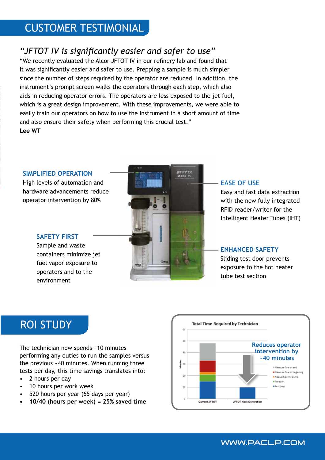## CUSTOMER TESTIMONIAL

## *"JFTOT IV is significantly easier and safer to use"*

"We recently evaluated the Alcor JFTOT IV in our refinery lab and found that it was significantly easier and safer to use. Prepping a sample is much simpler since the number of steps required by the operator are reduced. In addition, the instrument's prompt screen walks the operators through each step, which also aids in reducing operator errors. The operators are less exposed to the jet fuel, which is a great design improvement. With these improvements, we were able to easily train our operators on how to use the instrument in a short amount of time and also ensure their safety when performing this crucial test." **Lee WT**

### **SIMPLIFIED OPERATION**

High levels of automation and hardware advancements reduce operator intervention by 80%



### **EASE OF USE**

Easy and fast data extraction with the new fully integrated RFID reader/writer for the Intelligent Heater Tubes (IHT)

### **ENHANCED SAFETY**

Sliding test door prevents exposure to the hot heater tube test section

### Sample and waste containers minimize jet

**SAFETY FIRST**

fuel vapor exposure to operators and to the environment

## ROI STUDY

The technician now spends ~10 minutes performing any duties to run the samples versus the previous ~40 minutes. When running three tests per day, this time savings translates into:

- 2 hours per day
- 10 hours per work week
- 520 hours per year (65 days per year)
- **• 10/40 (hours per week) = 25% saved time**